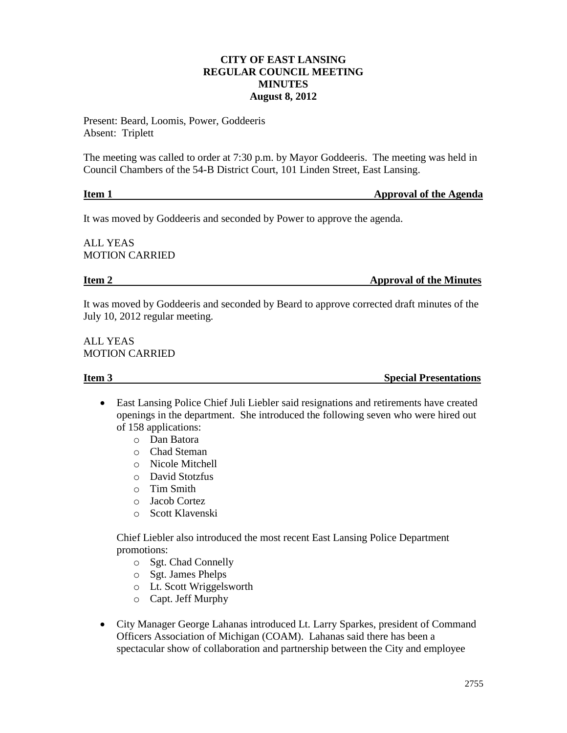# **CITY OF EAST LANSING REGULAR COUNCIL MEETING MINUTES August 8, 2012**

Present: Beard, Loomis, Power, Goddeeris Absent: Triplett

The meeting was called to order at 7:30 p.m. by Mayor Goddeeris. The meeting was held in Council Chambers of the 54-B District Court, 101 Linden Street, East Lansing.

| Item 1 | <b>Approval of the Agenda</b> |
|--------|-------------------------------|
|        |                               |

It was moved by Goddeeris and seconded by Power to approve the agenda.

ALL YEAS MOTION CARRIED

**Item 2** Approval of the Minutes

It was moved by Goddeeris and seconded by Beard to approve corrected draft minutes of the July 10, 2012 regular meeting.

ALL YEAS MOTION CARRIED

**Item 3** Special Presentations

- East Lansing Police Chief Juli Liebler said resignations and retirements have created openings in the department. She introduced the following seven who were hired out of 158 applications:
	- o Dan Batora
	- o Chad Steman
	- o Nicole Mitchell
	- o David Stotzfus
	- o Tim Smith
	- o Jacob Cortez
	- o Scott Klavenski

Chief Liebler also introduced the most recent East Lansing Police Department promotions:

- o Sgt. Chad Connelly
- o Sgt. James Phelps
- o Lt. Scott Wriggelsworth
- o Capt. Jeff Murphy
- City Manager George Lahanas introduced Lt. Larry Sparkes, president of Command Officers Association of Michigan (COAM). Lahanas said there has been a spectacular show of collaboration and partnership between the City and employee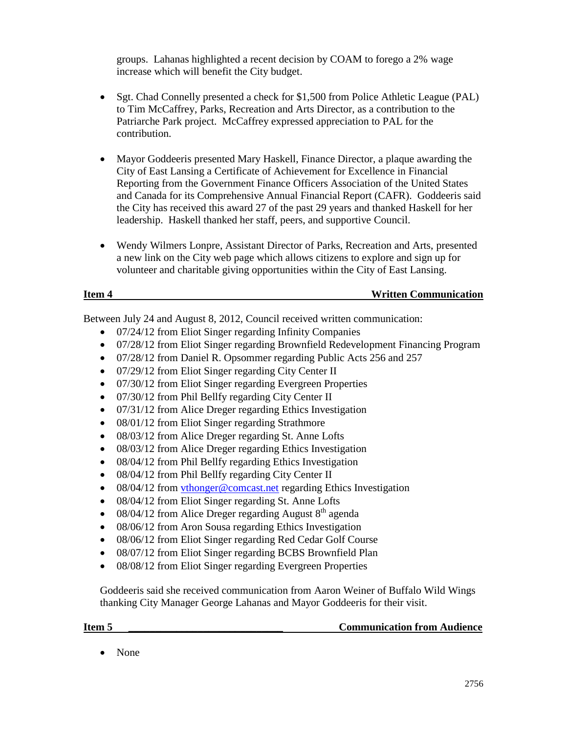groups. Lahanas highlighted a recent decision by COAM to forego a 2% wage increase which will benefit the City budget.

- Sgt. Chad Connelly presented a check for \$1,500 from Police Athletic League (PAL) to Tim McCaffrey, Parks, Recreation and Arts Director, as a contribution to the Patriarche Park project. McCaffrey expressed appreciation to PAL for the contribution.
- Mayor Goddeeris presented Mary Haskell, Finance Director, a plaque awarding the City of East Lansing a Certificate of Achievement for Excellence in Financial Reporting from the Government Finance Officers Association of the United States and Canada for its Comprehensive Annual Financial Report (CAFR). Goddeeris said the City has received this award 27 of the past 29 years and thanked Haskell for her leadership. Haskell thanked her staff, peers, and supportive Council.
- Wendy Wilmers Lonpre, Assistant Director of Parks, Recreation and Arts, presented a new link on the City web page which allows citizens to explore and sign up for volunteer and charitable giving opportunities within the City of East Lansing.

# **Item 4 Written Communication**

Between July 24 and August 8, 2012, Council received written communication:

- 07/24/12 from Eliot Singer regarding Infinity Companies
- 07/28/12 from Eliot Singer regarding Brownfield Redevelopment Financing Program
- 07/28/12 from Daniel R. Opsommer regarding Public Acts 256 and 257
- 07/29/12 from Eliot Singer regarding City Center II
- 07/30/12 from Eliot Singer regarding Evergreen Properties
- 07/30/12 from Phil Bellfy regarding City Center II
- 07/31/12 from Alice Dreger regarding Ethics Investigation
- 08/01/12 from Eliot Singer regarding Strathmore
- 08/03/12 from Alice Dreger regarding St. Anne Lofts
- 08/03/12 from Alice Dreger regarding Ethics Investigation
- 08/04/12 from Phil Bellfy regarding Ethics Investigation
- 08/04/12 from Phil Bellfy regarding City Center II
- 08/04/12 from [vthonger@comcast.net](mailto:vthonger@comcast.net) regarding Ethics Investigation
- 08/04/12 from Eliot Singer regarding St. Anne Lofts
- $\bullet$  08/04/12 from Alice Dreger regarding August  $8<sup>th</sup>$  agenda
- 08/06/12 from Aron Sousa regarding Ethics Investigation
- 08/06/12 from Eliot Singer regarding Red Cedar Golf Course
- 08/07/12 from Eliot Singer regarding BCBS Brownfield Plan
- 08/08/12 from Eliot Singer regarding Evergreen Properties

Goddeeris said she received communication from Aaron Weiner of Buffalo Wild Wings thanking City Manager George Lahanas and Mayor Goddeeris for their visit.

**Item 5 In the set of the communication from Audience Communication from Audience** 

• None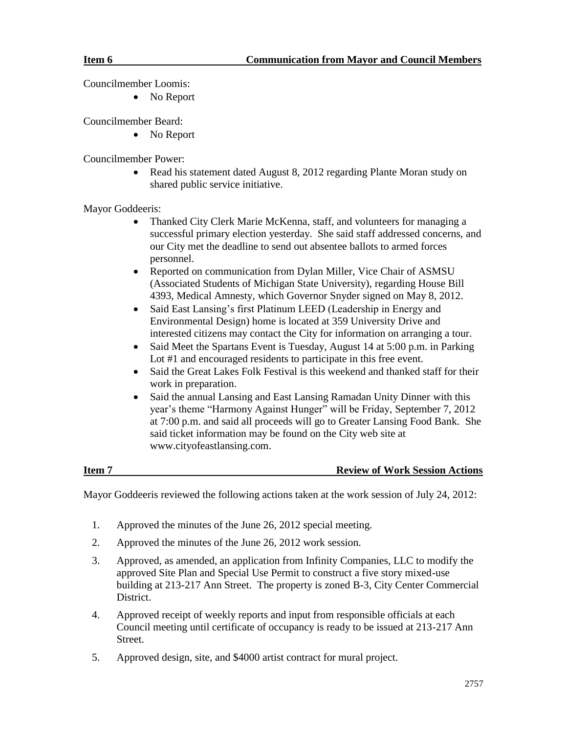Councilmember Loomis:

• No Report

Councilmember Beard:

• No Report

Councilmember Power:

• Read his statement dated August 8, 2012 regarding Plante Moran study on shared public service initiative.

Mayor Goddeeris:

- Thanked City Clerk Marie McKenna, staff, and volunteers for managing a successful primary election yesterday. She said staff addressed concerns, and our City met the deadline to send out absentee ballots to armed forces personnel.
- Reported on communication from Dylan Miller, Vice Chair of ASMSU (Associated Students of Michigan State University), regarding House Bill 4393, Medical Amnesty, which Governor Snyder signed on May 8, 2012.
- Said East Lansing's first Platinum LEED (Leadership in Energy and Environmental Design) home is located at 359 University Drive and interested citizens may contact the City for information on arranging a tour.
- Said Meet the Spartans Event is Tuesday, August 14 at 5:00 p.m. in Parking Lot #1 and encouraged residents to participate in this free event.
- Said the Great Lakes Folk Festival is this weekend and thanked staff for their work in preparation.
- Said the annual Lansing and East Lansing Ramadan Unity Dinner with this year's theme "Harmony Against Hunger" will be Friday, September 7, 2012 at 7:00 p.m. and said all proceeds will go to Greater Lansing Food Bank. She said ticket information may be found on the City web site at www.cityofeastlansing.com.

# **Item 7 Review of Work Session Actions**

Mayor Goddeeris reviewed the following actions taken at the work session of July 24, 2012:

- 1. Approved the minutes of the June 26, 2012 special meeting.
- 2. Approved the minutes of the June 26, 2012 work session.
- 3. Approved, as amended, an application from Infinity Companies, LLC to modify the approved Site Plan and Special Use Permit to construct a five story mixed-use building at 213-217 Ann Street. The property is zoned B-3, City Center Commercial District.
- 4. Approved receipt of weekly reports and input from responsible officials at each Council meeting until certificate of occupancy is ready to be issued at 213-217 Ann Street.
- 5. Approved design, site, and \$4000 artist contract for mural project.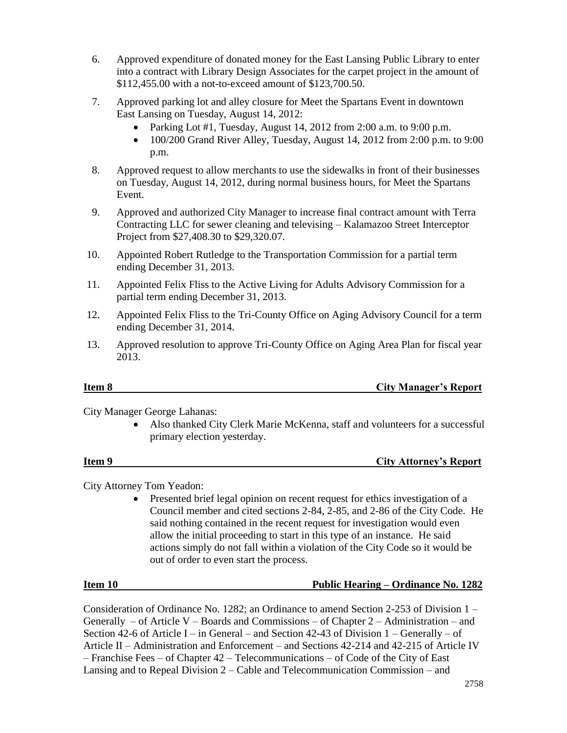- 6. Approved expenditure of donated money for the East Lansing Public Library to enter into a contract with Library Design Associates for the carpet project in the amount of \$112,455.00 with a not-to-exceed amount of \$123,700.50.
- 7. Approved parking lot and alley closure for Meet the Spartans Event in downtown East Lansing on Tuesday, August 14, 2012:
	- Parking Lot #1, Tuesday, August 14, 2012 from 2:00 a.m. to 9:00 p.m.
	- $\bullet$  100/200 Grand River Alley, Tuesday, August 14, 2012 from 2:00 p.m. to 9:00 p.m.
- 8. Approved request to allow merchants to use the sidewalks in front of their businesses on Tuesday, August 14, 2012, during normal business hours, for Meet the Spartans Event.
- 9. Approved and authorized City Manager to increase final contract amount with Terra Contracting LLC for sewer cleaning and televising – Kalamazoo Street Interceptor Project from \$27,408.30 to \$29,320.07.
- 10. Appointed Robert Rutledge to the Transportation Commission for a partial term ending December 31, 2013.
- 11. Appointed Felix Fliss to the Active Living for Adults Advisory Commission for a partial term ending December 31, 2013.
- 12. Appointed Felix Fliss to the Tri-County Office on Aging Advisory Council for a term ending December 31, 2014.
- 13. Approved resolution to approve Tri-County Office on Aging Area Plan for fiscal year 2013.

# **Item 8 City Manager's Report**

City Manager George Lahanas:

 Also thanked City Clerk Marie McKenna, staff and volunteers for a successful primary election yesterday.

### **Item 9** City Attorney's Report

City Attorney Tom Yeadon:

• Presented brief legal opinion on recent request for ethics investigation of a Council member and cited sections 2-84, 2-85, and 2-86 of the City Code. He said nothing contained in the recent request for investigation would even allow the initial proceeding to start in this type of an instance. He said actions simply do not fall within a violation of the City Code so it would be out of order to even start the process.

# **Item 10 Public Hearing – Ordinance No. 1282**

Consideration of Ordinance No. 1282; an Ordinance to amend Section 2-253 of Division 1 – Generally – of Article V – Boards and Commissions – of Chapter 2 – Administration – and Section 42-6 of Article I – in General – and Section 42-43 of Division 1 – Generally – of Article II – Administration and Enforcement – and Sections 42-214 and 42-215 of Article IV – Franchise Fees – of Chapter 42 – Telecommunications – of Code of the City of East Lansing and to Repeal Division 2 – Cable and Telecommunication Commission – and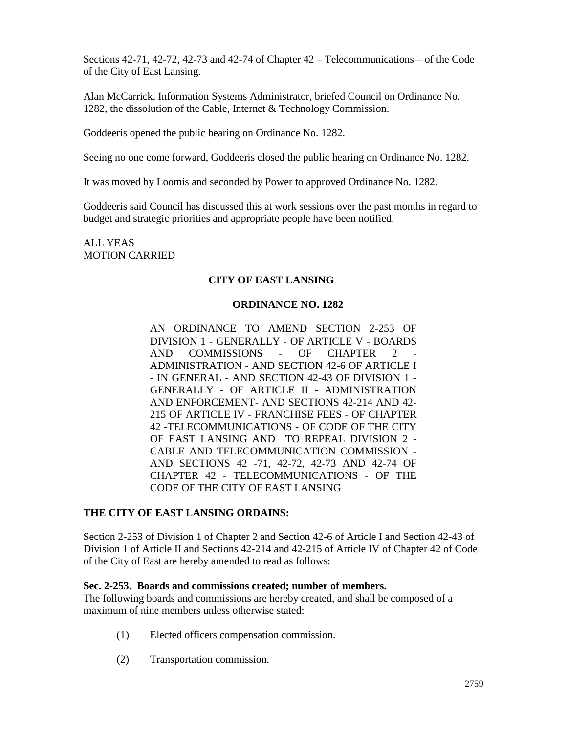Sections 42-71, 42-72, 42-73 and 42-74 of Chapter 42 – Telecommunications – of the Code of the City of East Lansing.

Alan McCarrick, Information Systems Administrator, briefed Council on Ordinance No. 1282, the dissolution of the Cable, Internet & Technology Commission.

Goddeeris opened the public hearing on Ordinance No. 1282.

Seeing no one come forward, Goddeeris closed the public hearing on Ordinance No. 1282.

It was moved by Loomis and seconded by Power to approved Ordinance No. 1282.

Goddeeris said Council has discussed this at work sessions over the past months in regard to budget and strategic priorities and appropriate people have been notified.

ALL YEAS MOTION CARRIED

# **CITY OF EAST LANSING**

## **ORDINANCE NO. 1282**

AN ORDINANCE TO AMEND SECTION 2-253 OF DIVISION 1 - GENERALLY - OF ARTICLE V - BOARDS AND COMMISSIONS - OF CHAPTER 2 ADMINISTRATION - AND SECTION 42-6 OF ARTICLE I - IN GENERAL - AND SECTION 42-43 OF DIVISION 1 - GENERALLY - OF ARTICLE II - ADMINISTRATION AND ENFORCEMENT- AND SECTIONS 42-214 AND 42- 215 OF ARTICLE IV - FRANCHISE FEES - OF CHAPTER 42 -TELECOMMUNICATIONS - OF CODE OF THE CITY OF EAST LANSING AND TO REPEAL DIVISION 2 - CABLE AND TELECOMMUNICATION COMMISSION - AND SECTIONS 42 -71, 42-72, 42-73 AND 42-74 OF CHAPTER 42 - TELECOMMUNICATIONS - OF THE CODE OF THE CITY OF EAST LANSING

# **THE CITY OF EAST LANSING ORDAINS:**

Section 2-253 of Division 1 of Chapter 2 and Section 42-6 of Article I and Section 42-43 of Division 1 of Article II and Sections 42-214 and 42-215 of Article IV of Chapter 42 of Code of the City of East are hereby amended to read as follows:

### **Sec. 2-253. Boards and commissions created; number of members.**

The following boards and commissions are hereby created, and shall be composed of a maximum of nine members unless otherwise stated:

- (1) Elected officers compensation commission.
- (2) Transportation commission.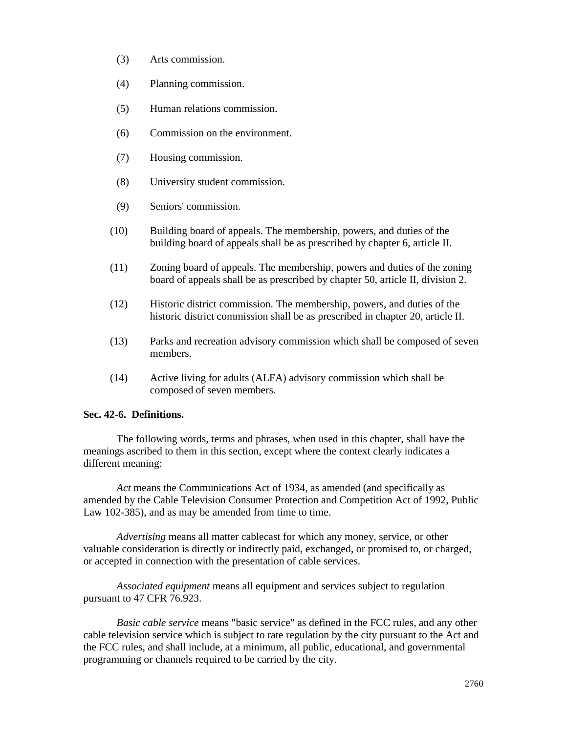- (3) Arts commission.
- (4) Planning commission.
- (5) Human relations commission.
- (6) Commission on the environment.
- (7) Housing commission.
- (8) University student commission.
- (9) Seniors' commission.
- (10) Building board of appeals. The membership, powers, and duties of the building board of appeals shall be as prescribed by chapter 6, article II.
- (11) Zoning board of appeals. The membership, powers and duties of the zoning board of appeals shall be as prescribed by chapter 50, article II, division 2.
- (12) Historic district commission. The membership, powers, and duties of the historic district commission shall be as prescribed in chapter 20, article II.
- (13) Parks and recreation advisory commission which shall be composed of seven members.
- (14) Active living for adults (ALFA) advisory commission which shall be composed of seven members.

# **Sec. 42-6. Definitions.**

The following words, terms and phrases, when used in this chapter, shall have the meanings ascribed to them in this section, except where the context clearly indicates a different meaning:

*Act* means the Communications Act of 1934, as amended (and specifically as amended by the Cable Television Consumer Protection and Competition Act of 1992, Public Law 102-385), and as may be amended from time to time.

*Advertising* means all matter cablecast for which any money, service, or other valuable consideration is directly or indirectly paid, exchanged, or promised to, or charged, or accepted in connection with the presentation of cable services.

*Associated equipment* means all equipment and services subject to regulation pursuant to 47 CFR 76.923.

*Basic cable service* means "basic service" as defined in the FCC rules, and any other cable television service which is subject to rate regulation by the city pursuant to the Act and the FCC rules, and shall include, at a minimum, all public, educational, and governmental programming or channels required to be carried by the city.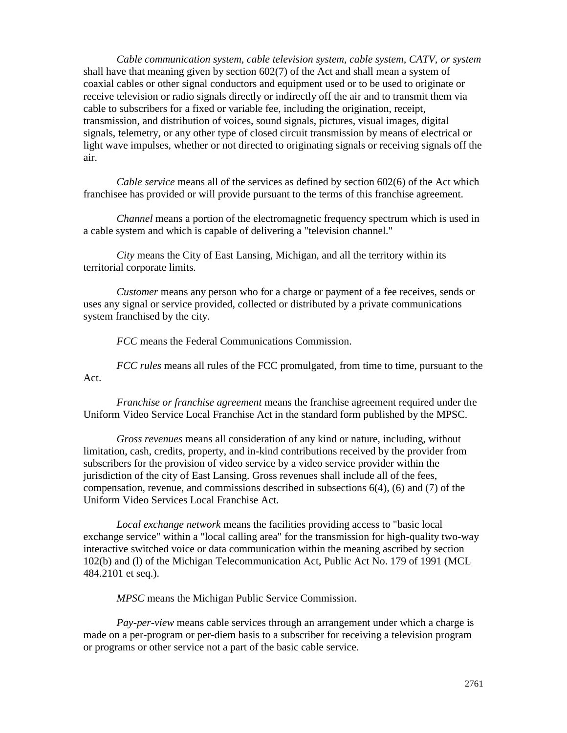*Cable communication system, cable television system, cable system, CATV, or system* shall have that meaning given by section 602(7) of the Act and shall mean a system of coaxial cables or other signal conductors and equipment used or to be used to originate or receive television or radio signals directly or indirectly off the air and to transmit them via cable to subscribers for a fixed or variable fee, including the origination, receipt, transmission, and distribution of voices, sound signals, pictures, visual images, digital signals, telemetry, or any other type of closed circuit transmission by means of electrical or light wave impulses, whether or not directed to originating signals or receiving signals off the air.

*Cable service* means all of the services as defined by section 602(6) of the Act which franchisee has provided or will provide pursuant to the terms of this franchise agreement.

*Channel* means a portion of the electromagnetic frequency spectrum which is used in a cable system and which is capable of delivering a "television channel."

*City* means the City of East Lansing, Michigan, and all the territory within its territorial corporate limits.

*Customer* means any person who for a charge or payment of a fee receives, sends or uses any signal or service provided, collected or distributed by a private communications system franchised by the city.

*FCC* means the Federal Communications Commission.

*FCC rules* means all rules of the FCC promulgated, from time to time, pursuant to the Act.

*Franchise or franchise agreement* means the franchise agreement required under the Uniform Video Service Local Franchise Act in the standard form published by the MPSC.

*Gross revenues* means all consideration of any kind or nature, including, without limitation, cash, credits, property, and in-kind contributions received by the provider from subscribers for the provision of video service by a video service provider within the jurisdiction of the city of East Lansing. Gross revenues shall include all of the fees, compensation, revenue, and commissions described in subsections 6(4), (6) and (7) of the Uniform Video Services Local Franchise Act.

*Local exchange network* means the facilities providing access to "basic local exchange service" within a "local calling area" for the transmission for high-quality two-way interactive switched voice or data communication within the meaning ascribed by section 102(b) and (l) of the Michigan Telecommunication Act, Public Act No. 179 of 1991 (MCL 484.2101 et seq.).

*MPSC* means the Michigan Public Service Commission.

*Pay-per-view* means cable services through an arrangement under which a charge is made on a per-program or per-diem basis to a subscriber for receiving a television program or programs or other service not a part of the basic cable service.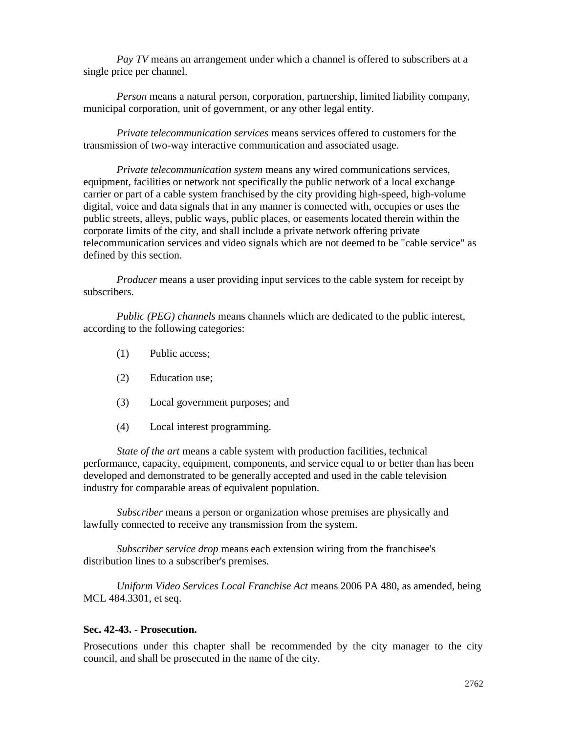*Pay TV* means an arrangement under which a channel is offered to subscribers at a single price per channel.

*Person* means a natural person, corporation, partnership, limited liability company, municipal corporation, unit of government, or any other legal entity.

*Private telecommunication services* means services offered to customers for the transmission of two-way interactive communication and associated usage.

*Private telecommunication system* means any wired communications services, equipment, facilities or network not specifically the public network of a local exchange carrier or part of a cable system franchised by the city providing high-speed, high-volume digital, voice and data signals that in any manner is connected with, occupies or uses the public streets, alleys, public ways, public places, or easements located therein within the corporate limits of the city, and shall include a private network offering private telecommunication services and video signals which are not deemed to be "cable service" as defined by this section.

*Producer* means a user providing input services to the cable system for receipt by subscribers.

*Public (PEG) channels* means channels which are dedicated to the public interest, according to the following categories:

- (1) Public access;
- (2) Education use;
- (3) Local government purposes; and
- (4) Local interest programming.

*State of the art* means a cable system with production facilities, technical performance, capacity, equipment, components, and service equal to or better than has been developed and demonstrated to be generally accepted and used in the cable television industry for comparable areas of equivalent population.

*Subscriber* means a person or organization whose premises are physically and lawfully connected to receive any transmission from the system.

*Subscriber service drop* means each extension wiring from the franchisee's distribution lines to a subscriber's premises.

*Uniform Video Services Local Franchise Act* means 2006 PA 480, as amended, being MCL 484.3301, et seq.

### **Sec. 42-43. - Prosecution.**

Prosecutions under this chapter shall be recommended by the city manager to the city council, and shall be prosecuted in the name of the city.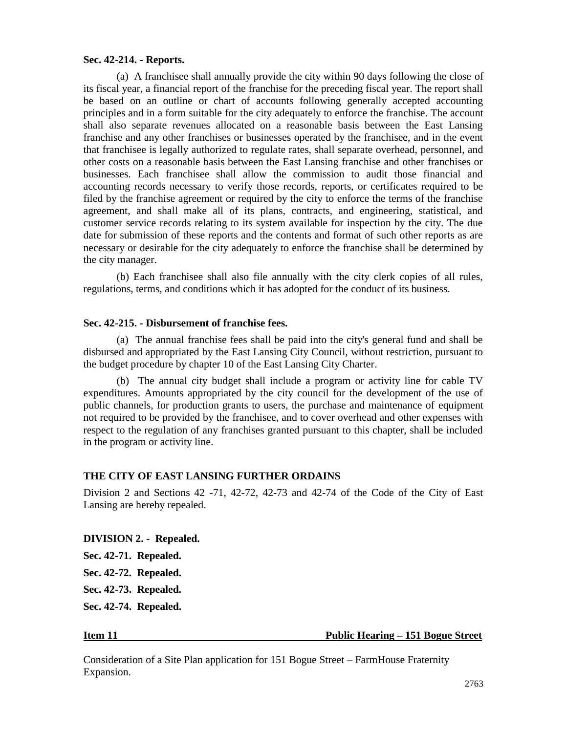### **Sec. 42-214. - Reports.**

(a) A franchisee shall annually provide the city within 90 days following the close of its fiscal year, a financial report of the franchise for the preceding fiscal year. The report shall be based on an outline or chart of accounts following generally accepted accounting principles and in a form suitable for the city adequately to enforce the franchise. The account shall also separate revenues allocated on a reasonable basis between the East Lansing franchise and any other franchises or businesses operated by the franchisee, and in the event that franchisee is legally authorized to regulate rates, shall separate overhead, personnel, and other costs on a reasonable basis between the East Lansing franchise and other franchises or businesses. Each franchisee shall allow the commission to audit those financial and accounting records necessary to verify those records, reports, or certificates required to be filed by the franchise agreement or required by the city to enforce the terms of the franchise agreement, and shall make all of its plans, contracts, and engineering, statistical, and customer service records relating to its system available for inspection by the city. The due date for submission of these reports and the contents and format of such other reports as are necessary or desirable for the city adequately to enforce the franchise shall be determined by the city manager.

(b) Each franchisee shall also file annually with the city clerk copies of all rules, regulations, terms, and conditions which it has adopted for the conduct of its business.

### **Sec. 42-215. - Disbursement of franchise fees.**

(a) The annual franchise fees shall be paid into the city's general fund and shall be disbursed and appropriated by the East Lansing City Council, without restriction, pursuant to the budget procedure by chapter 10 of the East Lansing City Charter.

(b) The annual city budget shall include a program or activity line for cable TV expenditures. Amounts appropriated by the city council for the development of the use of public channels, for production grants to users, the purchase and maintenance of equipment not required to be provided by the franchisee, and to cover overhead and other expenses with respect to the regulation of any franchises granted pursuant to this chapter, shall be included in the program or activity line.

### **THE CITY OF EAST LANSING FURTHER ORDAINS**

Division 2 and Sections 42 -71, 42-72, 42-73 and 42-74 of the Code of the City of East Lansing are hereby repealed.

### **DIVISION 2. - Repealed.**

**Sec. 42-71. Repealed. Sec. 42-72. Repealed. Sec. 42-73. Repealed.**

**Sec. 42-74. Repealed.**

### **Item 11 Public Hearing – 151 Bogue Street**

Consideration of a Site Plan application for 151 Bogue Street – FarmHouse Fraternity Expansion.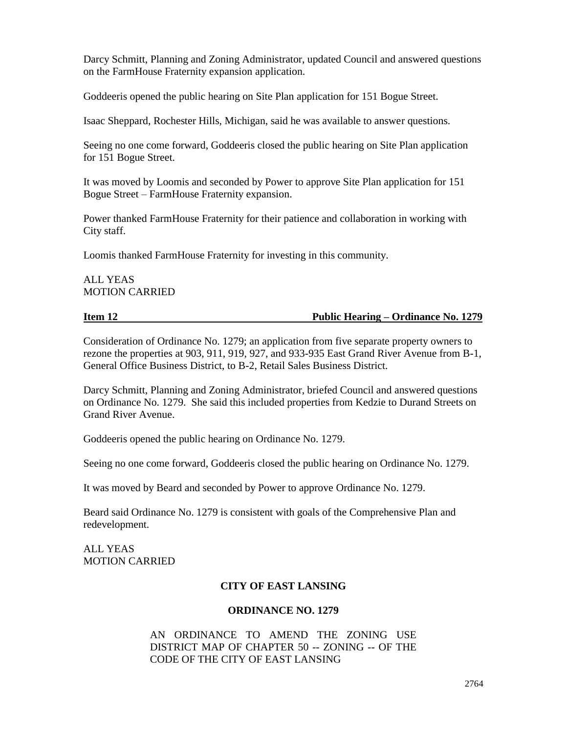Darcy Schmitt, Planning and Zoning Administrator, updated Council and answered questions on the FarmHouse Fraternity expansion application.

Goddeeris opened the public hearing on Site Plan application for 151 Bogue Street.

Isaac Sheppard, Rochester Hills, Michigan, said he was available to answer questions.

Seeing no one come forward, Goddeeris closed the public hearing on Site Plan application for 151 Bogue Street.

It was moved by Loomis and seconded by Power to approve Site Plan application for 151 Bogue Street – FarmHouse Fraternity expansion.

Power thanked FarmHouse Fraternity for their patience and collaboration in working with City staff.

Loomis thanked FarmHouse Fraternity for investing in this community.

# ALL YEAS MOTION CARRIED

**Item 12 Public Hearing – Ordinance No. 1279** 

Consideration of Ordinance No. 1279; an application from five separate property owners to rezone the properties at 903, 911, 919, 927, and 933-935 East Grand River Avenue from B-1, General Office Business District, to B-2, Retail Sales Business District.

Darcy Schmitt, Planning and Zoning Administrator, briefed Council and answered questions on Ordinance No. 1279. She said this included properties from Kedzie to Durand Streets on Grand River Avenue.

Goddeeris opened the public hearing on Ordinance No. 1279.

Seeing no one come forward, Goddeeris closed the public hearing on Ordinance No. 1279.

It was moved by Beard and seconded by Power to approve Ordinance No. 1279.

Beard said Ordinance No. 1279 is consistent with goals of the Comprehensive Plan and redevelopment.

ALL YEAS MOTION CARRIED

# **CITY OF EAST LANSING**

# **ORDINANCE NO. 1279**

AN ORDINANCE TO AMEND THE ZONING USE DISTRICT MAP OF CHAPTER 50 -- ZONING -- OF THE CODE OF THE CITY OF EAST LANSING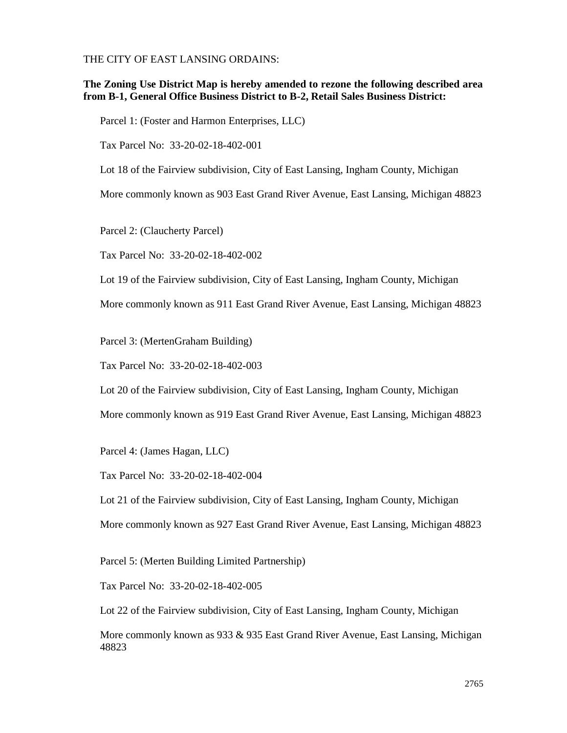THE CITY OF EAST LANSING ORDAINS:

## **The Zoning Use District Map is hereby amended to rezone the following described area from B-1, General Office Business District to B-2, Retail Sales Business District:**

Parcel 1: (Foster and Harmon Enterprises, LLC)

Tax Parcel No: 33-20-02-18-402-001

Lot 18 of the Fairview subdivision, City of East Lansing, Ingham County, Michigan

More commonly known as 903 East Grand River Avenue, East Lansing, Michigan 48823

Parcel 2: (Claucherty Parcel)

Tax Parcel No: 33-20-02-18-402-002

Lot 19 of the Fairview subdivision, City of East Lansing, Ingham County, Michigan

More commonly known as 911 East Grand River Avenue, East Lansing, Michigan 48823

Parcel 3: (MertenGraham Building)

Tax Parcel No: 33-20-02-18-402-003

Lot 20 of the Fairview subdivision, City of East Lansing, Ingham County, Michigan

More commonly known as 919 East Grand River Avenue, East Lansing, Michigan 48823

Parcel 4: (James Hagan, LLC)

Tax Parcel No: 33-20-02-18-402-004

Lot 21 of the Fairview subdivision, City of East Lansing, Ingham County, Michigan

More commonly known as 927 East Grand River Avenue, East Lansing, Michigan 48823

Parcel 5: (Merten Building Limited Partnership)

Tax Parcel No: 33-20-02-18-402-005

Lot 22 of the Fairview subdivision, City of East Lansing, Ingham County, Michigan

More commonly known as 933 & 935 East Grand River Avenue, East Lansing, Michigan 48823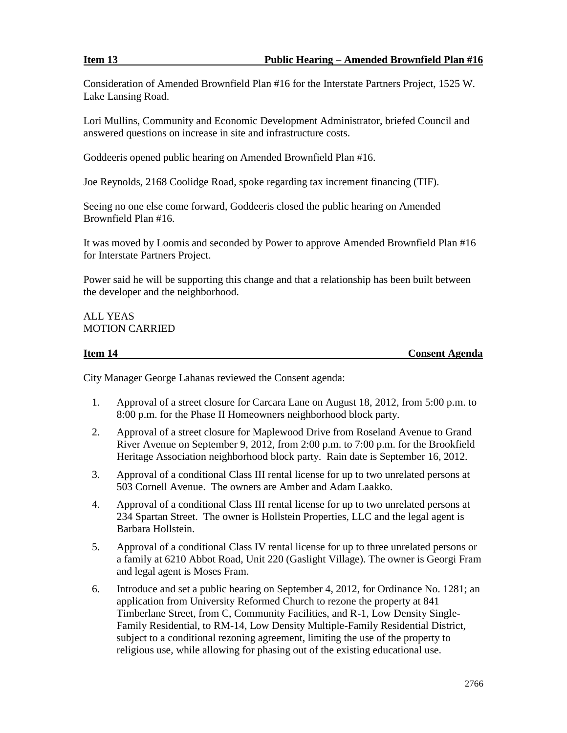Consideration of Amended Brownfield Plan #16 for the Interstate Partners Project, 1525 W. Lake Lansing Road.

Lori Mullins, Community and Economic Development Administrator, briefed Council and answered questions on increase in site and infrastructure costs.

Goddeeris opened public hearing on Amended Brownfield Plan #16.

Joe Reynolds, 2168 Coolidge Road, spoke regarding tax increment financing (TIF).

Seeing no one else come forward, Goddeeris closed the public hearing on Amended Brownfield Plan #16.

It was moved by Loomis and seconded by Power to approve Amended Brownfield Plan #16 for Interstate Partners Project.

Power said he will be supporting this change and that a relationship has been built between the developer and the neighborhood.

# ALL YEAS MOTION CARRIED

**Item 14 Consent Agenda**

City Manager George Lahanas reviewed the Consent agenda:

- 1. Approval of a street closure for Carcara Lane on August 18, 2012, from 5:00 p.m. to 8:00 p.m. for the Phase II Homeowners neighborhood block party.
- 2. Approval of a street closure for Maplewood Drive from Roseland Avenue to Grand River Avenue on September 9, 2012, from 2:00 p.m. to 7:00 p.m. for the Brookfield Heritage Association neighborhood block party. Rain date is September 16, 2012.
- 3. Approval of a conditional Class III rental license for up to two unrelated persons at 503 Cornell Avenue. The owners are Amber and Adam Laakko.
- 4. Approval of a conditional Class III rental license for up to two unrelated persons at 234 Spartan Street. The owner is Hollstein Properties, LLC and the legal agent is Barbara Hollstein.
- 5. Approval of a conditional Class IV rental license for up to three unrelated persons or a family at 6210 Abbot Road, Unit 220 (Gaslight Village). The owner is Georgi Fram and legal agent is Moses Fram.
- 6. Introduce and set a public hearing on September 4, 2012, for Ordinance No. 1281; an application from University Reformed Church to rezone the property at 841 Timberlane Street, from C, Community Facilities, and R-1, Low Density Single-Family Residential, to RM-14, Low Density Multiple-Family Residential District, subject to a conditional rezoning agreement, limiting the use of the property to religious use, while allowing for phasing out of the existing educational use.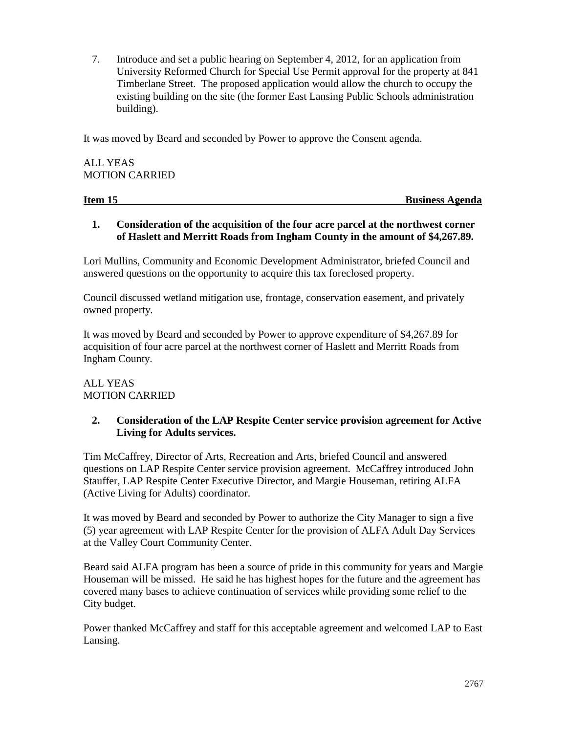7. Introduce and set a public hearing on September 4, 2012, for an application from University Reformed Church for Special Use Permit approval for the property at 841 Timberlane Street. The proposed application would allow the church to occupy the existing building on the site (the former East Lansing Public Schools administration building).

It was moved by Beard and seconded by Power to approve the Consent agenda.

ALL YEAS MOTION CARRIED

**Item 15** Business Agenda

# **1. Consideration of the acquisition of the four acre parcel at the northwest corner of Haslett and Merritt Roads from Ingham County in the amount of \$4,267.89.**

Lori Mullins, Community and Economic Development Administrator, briefed Council and answered questions on the opportunity to acquire this tax foreclosed property.

Council discussed wetland mitigation use, frontage, conservation easement, and privately owned property.

It was moved by Beard and seconded by Power to approve expenditure of \$4,267.89 for acquisition of four acre parcel at the northwest corner of Haslett and Merritt Roads from Ingham County.

# ALL YEAS MOTION CARRIED

# **2. Consideration of the LAP Respite Center service provision agreement for Active Living for Adults services.**

Tim McCaffrey, Director of Arts, Recreation and Arts, briefed Council and answered questions on LAP Respite Center service provision agreement. McCaffrey introduced John Stauffer, LAP Respite Center Executive Director, and Margie Houseman, retiring ALFA (Active Living for Adults) coordinator.

It was moved by Beard and seconded by Power to authorize the City Manager to sign a five (5) year agreement with LAP Respite Center for the provision of ALFA Adult Day Services at the Valley Court Community Center.

Beard said ALFA program has been a source of pride in this community for years and Margie Houseman will be missed. He said he has highest hopes for the future and the agreement has covered many bases to achieve continuation of services while providing some relief to the City budget.

Power thanked McCaffrey and staff for this acceptable agreement and welcomed LAP to East Lansing.